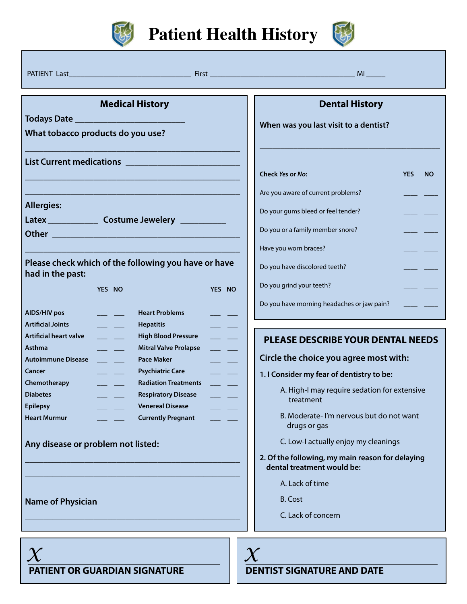

**Patient Health History**



PATIENT Last\_\_\_\_\_\_\_\_\_\_\_\_\_\_\_\_\_\_\_\_\_\_\_\_\_\_\_\_\_\_\_\_ First \_\_\_\_\_\_\_\_\_\_\_\_\_\_\_\_\_\_\_\_\_\_\_\_\_\_\_\_\_\_\_\_\_\_\_\_\_\_ MI \_\_\_\_\_ **Medical History Todays Date \_\_\_\_\_\_\_\_\_\_\_\_\_\_\_\_\_\_\_\_\_\_\_\_ What tobacco products do you use? \_\_\_\_\_\_\_\_\_\_\_\_\_\_\_\_\_\_\_\_\_\_\_\_\_\_\_\_\_\_\_\_\_\_\_\_\_\_\_\_\_\_\_\_\_\_\_ List Current medications \_\_\_\_\_\_\_\_\_\_\_\_\_\_\_\_\_\_\_\_\_\_\_\_\_ \_\_\_\_\_\_\_\_\_\_\_\_\_\_\_\_\_\_\_\_\_\_\_\_\_\_\_\_\_\_\_\_\_\_\_\_\_\_\_\_\_\_\_\_\_\_\_ \_\_\_\_\_\_\_\_\_\_\_\_\_\_\_\_\_\_\_\_\_\_\_\_\_\_\_\_\_\_\_\_\_\_\_\_\_\_\_\_\_\_\_\_\_\_\_ Allergies: Latex \_\_\_\_\_\_\_\_\_\_\_ Costume Jewelery \_\_\_\_\_\_\_\_\_\_ Other \_\_\_\_\_\_\_\_\_\_\_\_\_\_\_\_\_\_\_\_\_\_\_\_\_\_\_\_\_\_\_\_\_\_\_\_\_\_\_\_\_ \_\_\_\_\_\_\_\_\_\_\_\_\_\_\_\_\_\_\_\_\_\_\_\_\_\_\_\_\_\_\_\_\_\_\_\_\_\_\_\_\_\_\_\_\_\_\_ Please check which of the following you have or have had in the past: Dental History When was you last visit to a dentist? \_\_\_\_\_\_\_\_\_\_\_\_\_\_\_\_\_\_\_\_\_\_\_\_\_\_\_\_\_\_\_\_\_\_\_\_\_\_\_\_\_\_\_ Check** *Yes* **or** *No***: YES NO** Are you aware of current problems? Do your gums bleed or feel tender? Do you or a family member snore? Have you worn braces? Do you have discolored teeth? Do you grind your teeth? Do you have morning headaches or jaw pain? **YES NO AIDS/HIV pos \_\_\_ \_\_\_ Artificial Joints \_\_\_ \_\_\_ Artificial heart valve \_\_\_ \_\_\_ Asthma \_\_\_ \_\_\_ Autoimmune Disease \_\_\_ \_\_\_ Cancer \_\_\_ \_\_\_ Chemotherapy \_\_\_ \_\_\_ Diabetes \_\_\_ \_\_\_ Epilepsy \_\_\_ \_\_\_ Heart Murmur \_\_\_ \_\_\_ YES NO Heart Problems \_\_\_ \_\_\_ Hepatitis \_\_\_ \_\_\_ High Blood Pressure \_\_\_ \_\_\_ Mitral Valve Prolapse \_\_\_ \_\_\_ Pace Maker \_\_\_ \_\_\_ Psychiatric Care \_\_\_ \_\_\_ Radiation Treatments \_\_\_ \_\_\_ Respiratory Disease \_\_\_ \_\_\_ Venereal Disease \_\_\_ \_\_\_ Currently Pregnant \_\_\_ \_\_\_ Any disease or problem not listed: \_\_\_\_\_\_\_\_\_\_\_\_\_\_\_\_\_\_\_\_\_\_\_\_\_\_\_\_\_\_\_\_\_\_\_\_\_\_\_\_\_\_\_\_\_\_\_ \_\_\_\_\_\_\_\_\_\_\_\_\_\_\_\_\_\_\_\_\_\_\_\_\_\_\_\_\_\_\_\_\_\_\_\_\_\_\_\_\_\_\_\_\_\_\_ Name of Physician \_\_\_\_\_\_\_\_\_\_\_\_\_\_\_\_\_\_\_\_\_\_\_\_\_\_\_\_\_\_\_\_\_\_\_\_\_\_\_\_\_\_\_\_\_\_\_ PLEASE DESCRIBE YOUR DENTAL NEEDS Circle the choice you agree most with: 1. I Consider my fear of dentistry to be:** A. High-I may require sedation for extensive treatment B. Moderate- I'm nervous but do not want drugs or gas C. Low-I actually enjoy my cleanings **2. Of the following, my main reason for delaying dental treatment would be:** A. Lack of time B. Cost C. Lack of concern  $\chi$  *X*  $\chi$ 

**PATIENT OR GUARDIAN SIGNATURE**

#### **DENTIST SIGNATURE AND DATE**